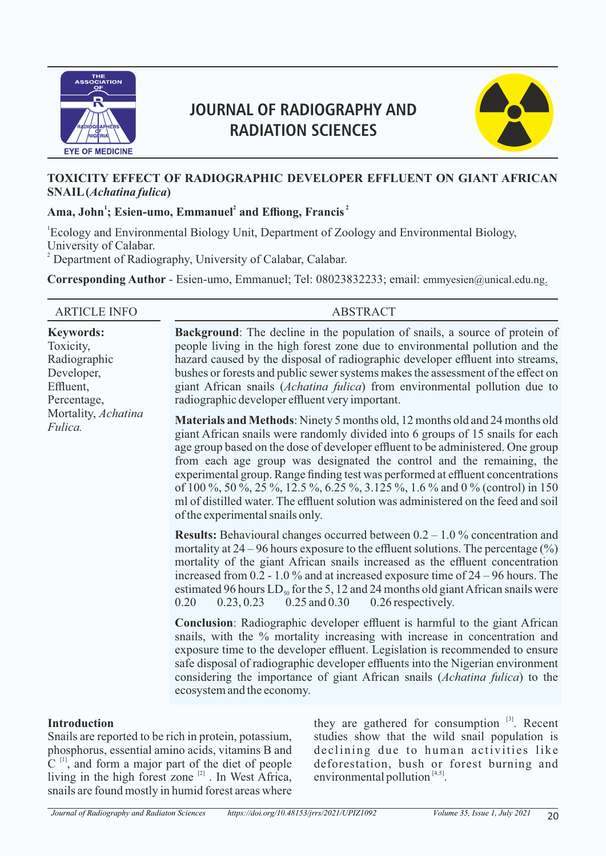

# **JOURNAL OF RADIOGRAPHY AND RADIATION SCIENCES**



#### **TOXICITY EFFECT OF RADIOGRAPHIC DEVELOPER EFFLUENT ON GIANT AFRICAN SNAIL (***Achatina fulica***)**

## Ama, John<sup>1</sup>; Esien-umo, Emmanuel<sup>2</sup> and Effiong, Francis<sup>2</sup>

1 Ecology and Environmental Biology Unit, Department of Zoology and Environmental Biology, University of Calabar. <sup>2</sup> Department of Radiography, University of Calabar, Calabar.

**Corresponding Author** - Esien-umo, Emmanuel; Tel: 08023832233; email: emmyesien@unical.edu.ng.

| <b>ARTICLE INFO</b>                                                                                                       | <b>ABSTRACT</b>                                                                                                                                                                                                                                                                                                                                                                                                                                                                                                                                                                                                         |
|---------------------------------------------------------------------------------------------------------------------------|-------------------------------------------------------------------------------------------------------------------------------------------------------------------------------------------------------------------------------------------------------------------------------------------------------------------------------------------------------------------------------------------------------------------------------------------------------------------------------------------------------------------------------------------------------------------------------------------------------------------------|
| <b>Keywords:</b><br>Toxicity,<br>Radiographic<br>Developer,<br>Effluent,<br>Percentage,<br>Mortality, Achatina<br>Fulica. | <b>Background:</b> The decline in the population of snails, a source of protein of<br>people living in the high forest zone due to environmental pollution and the<br>hazard caused by the disposal of radiographic developer effluent into streams,<br>bushes or forests and public sewer systems makes the assessment of the effect on<br>giant African snails (Achatina fulica) from environmental pollution due to<br>radiographic developer effluent very important.                                                                                                                                               |
|                                                                                                                           | Materials and Methods: Ninety 5 months old, 12 months old and 24 months old<br>giant African snails were randomly divided into 6 groups of 15 snails for each<br>age group based on the dose of developer effluent to be administered. One group<br>from each age group was designated the control and the remaining, the<br>experimental group. Range finding test was performed at effluent concentrations<br>of 100 %, 50 %, 25 %, 12.5 %, 6.25 %, 3.125 %, 1.6 % and 0 % (control) in 150<br>ml of distilled water. The effluent solution was administered on the feed and soil<br>of the experimental snails only. |
|                                                                                                                           | <b>Results:</b> Behavioural changes occurred between $0.2 - 1.0\%$ concentration and<br>mortality at $24 - 96$ hours exposure to the effluent solutions. The percentage $(\%)$<br>mortality of the giant African snails increased as the effluent concentration<br>increased from 0.2 - 1.0 % and at increased exposure time of $24 - 96$ hours. The<br>estimated 96 hours $LD_{50}$ for the 5, 12 and 24 months old giant African snails were<br>0.23, 0.23<br>$0.25$ and $0.30$<br>0.26 respectively.<br>0.20                                                                                                         |
|                                                                                                                           | <b>Conclusion:</b> Radiographic developer effluent is harmful to the giant African<br>snails, with the % mortality increasing with increase in concentration and<br>exposure time to the developer effluent. Legislation is recommended to ensure<br>safe disposal of radiographic developer effluents into the Nigerian environment<br>considering the importance of giant African snails (Achatina fulica) to the<br>ecosystem and the economy.                                                                                                                                                                       |
|                                                                                                                           |                                                                                                                                                                                                                                                                                                                                                                                                                                                                                                                                                                                                                         |

#### **Introduction**

Snails are reported to be rich in protein, potassium, phosphorus, essential amino acids, vitamins B and  $C$ <sup>[1]</sup>, and form a major part of the diet of people living in the high forest zone  $[2]$ . In West Africa, snails are found mostly in humid forest areas where

they are gathered for consumption  $^{[3]}$ . Recent studies show that the wild snail population is declining due to human activities like deforestation, bush or forest burning and environmental pollution  $[4, 5]$ .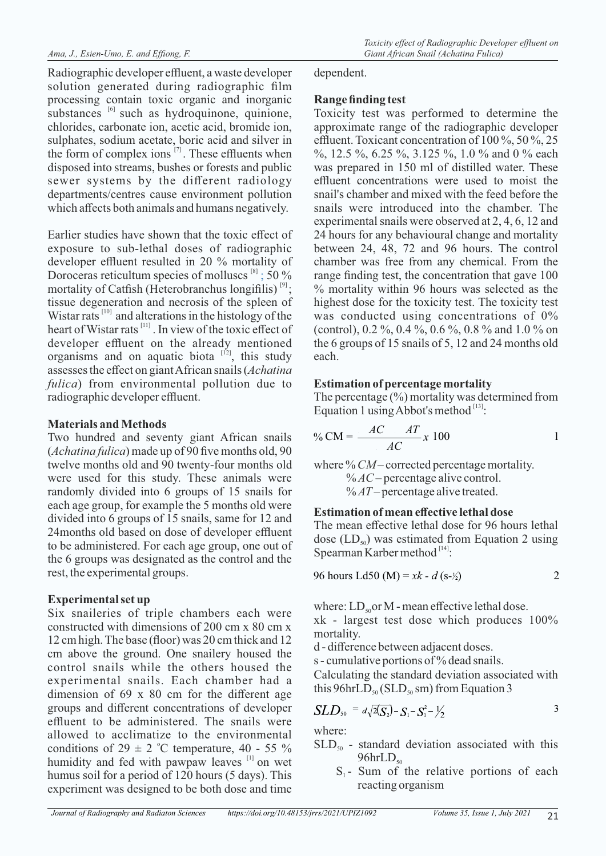Radiographic developer effluent, a waste developer solution generated during radiographic film processing contain toxic organic and inorganic substances  $[6]$  such as hydroquinone, quinione, chlorides, carbonate ion, acetic acid, bromide ion, sulphates, sodium acetate, boric acid and silver in the form of complex ions  $^{[7]}$ . These effluents when disposed into streams, bushes or forests and public sewer systems by the different radiology departments/centres cause environment pollution which affects both animals and humans negatively.

Earlier studies have shown that the toxic effect of exposure to sub-lethal doses of radiographic developer effluent resulted in 20 % mortality of Doroceras reticultum species of molluscs  $[8]$ ; 50 % mortality of Catfish (Heterobranchus longifilis)  $[9]$ ; tissue degeneration and necrosis of the spleen of Wistar rats  $[10]$  and alterations in the histology of the  $\frac{1}{2}$  heart of Wistar rats  $\frac{[11]}{[11]}$ . In view of the toxic effect of developer effluent on the already mentioned organisms and on aquatic biota  $[12]$ , this study assesses the effect on giant African snails (*Achatina fulica*) from environmental pollution due to radiographic developer effluent.

### **Materials and Methods**

Two hundred and seventy giant African snails (*Achatina fulica*) made up of 90 five months old, 90 twelve months old and 90 twenty-four months old were used for this study. These animals were randomly divided into 6 groups of 15 snails for each age group, for example the 5 months old were divided into 6 groups of 15 snails, same for 12 and 24months old based on dose of developer effluent to be administered. For each age group, one out of the 6 groups was designated as the control and the rest, the experimental groups.

# **Experimental set up**

Six snaileries of triple chambers each were constructed with dimensions of 200 cm x 80 cm x 12 cm high. The base (floor) was 20 cm thick and 12 cm above the ground. One snailery housed the control snails while the others housed the experimental snails. Each chamber had a dimension of 69 x 80 cm for the different age groups and different concentrations of developer effluent to be administered. The snails were allowed to acclimatize to the environmental conditions of  $29 \pm 2$  °C temperature, 40 - 55 % humidity and fed with pawpaw leaves  $[1]$  on wet humus soil for a period of 120 hours (5 days). This experiment was designed to be both dose and time

dependent.

# **Range finding test**

Toxicity test was performed to determine the approximate range of the radiographic developer effluent. Toxicant concentration of 100 %, 50 %, 25 %, 12.5 %, 6.25 %, 3.125 %, 1.0 % and 0 % each was prepared in 150 ml of distilled water. These effluent concentrations were used to moist the snail's chamber and mixed with the feed before the snails were introduced into the chamber. The experimental snails were observed at 2, 4, 6, 12 and 24 hours for any behavioural change and mortality between 24, 48, 72 and 96 hours. The control chamber was free from any chemical. From the range finding test, the concentration that gave 100 % mortality within 96 hours was selected as the highest dose for the toxicity test. The toxicity test was conducted using concentrations of 0% (control), 0.2 %, 0.4 %, 0.6 %, 0.8 % and 1.0 % on the 6 groups of 15 snails of 5, 12 and 24 months old each.

## **Estimation of percentage mortality**

The percentage  $(\%)$  mortality was determined from Equation 1 using Abbot's method  $[13]$ :

$$
\% CM = \frac{AC}{AC} \frac{AT}{AC} x 100
$$

where % *CM* – corrected percentage mortality. % *AC* – percentage alive control. % *AT* – percentage alive treated.

#### **Estimation of mean effective lethal dose**

The mean effective lethal dose for 96 hours lethal dose  $(LD_{50})$  was estimated from Equation 2 using Spearman Karber method  $[14]$ :

96 hours Ld50 (M) = 
$$
xk - d
$$
 (s- $\frac{1}{2}$ ) 2

where:  $LD_{50}$  or M - mean effective lethal dose. xk - largest test dose which produces 100% mortality.

d - difference between adjacent doses.

s - cumulative portions of % dead snails.

Calculating the standard deviation associated with this  $96$ hrLD<sub>50</sub> (SLD<sub>50</sub> sm) from Equation 3

$$
SLD_{50} = d\sqrt{2(S_2)} - S_1 - S_1^2 - \frac{1}{2}
$$

where:

- $SLD_{50}$  standard deviation associated with this  $96hrLD_{50}$ 
	- $S<sub>1</sub>$  Sum of the relative portions of each reacting organism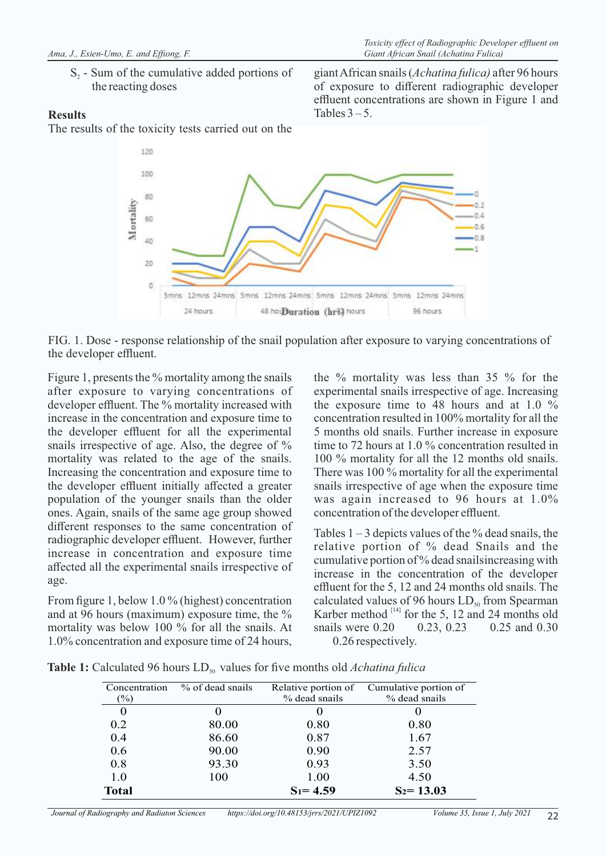S<sub>2</sub> - Sum of the cumulative added portions of the reacting doses

#### **Results**

The results of the toxicity tests carried out on the

giant African snails (*Achatina fulica)* after 96 hours of exposure to different radiographic developer effluent concentrations are shown in Figure 1 and Tables  $3 - 5$ .



FIG. 1. Dose - response relationship of the snail population after exposure to varying concentrations of the developer effluent.

Figure 1, presents the % mortality among the snails after exposure to varying concentrations of developer effluent. The % mortality increased with increase in the concentration and exposure time to the developer effluent for all the experimental snails irrespective of age. Also, the degree of % mortality was related to the age of the snails. Increasing the concentration and exposure time to the developer effluent initially affected a greater population of the younger snails than the older ones. Again, snails of the same age group showed different responses to the same concentration of radiographic developer effluent. However, further increase in concentration and exposure time affected all the experimental snails irrespective of age.

From figure 1, below 1.0 % (highest) concentration and at 96 hours (maximum) exposure time, the % mortality was below 100 % for all the snails. At 1.0% concentration and exposure time of 24 hours, the % mortality was less than 35 % for the experimental snails irrespective of age. Increasing the exposure time to 48 hours and at 1.0 % concentration resulted in 100% mortality for all the 5 months old snails. Further increase in exposure time to 72 hours at 1.0 % concentration resulted in 100 % mortality for all the 12 months old snails. There was 100 % mortality for all the experimental snails irrespective of age when the exposure time was again increased to 96 hours at 1.0% concentration of the developer effluent.

Tables  $1 - 3$  depicts values of the % dead snails, the relative portion of % dead Snails and the cumulative portion of % dead snailsincreasing with increase in the concentration of the developer effluent for the 5, 12 and 24 months old snails. The calculated values of 96 hours  $LD_{so}$  from Spearman Karber method <sup>[14]</sup> for the 5, 12 and 24 months old<br>snails were  $0.20$  0.23, 0.23 0.25 and 0.30 snails were 0.20 0.23, 0.23 0.25 and 0.30 0.26 respectively.

| Concentration | % of dead snails | Relative portion of | Cumulative portion of |
|---------------|------------------|---------------------|-----------------------|
| $(\%)$        |                  | % dead snails       | % dead snails         |
| 0             |                  |                     |                       |
| 0.2           | 80.00            | 0.80                | 0.80                  |
| 0.4           | 86.60            | 0.87                | 1.67                  |
| 0.6           | 90.00            | 0.90                | 2.57                  |
| 0.8           | 93.30            | 0.93                | 3.50                  |
| 1.0           | 100              | 1.00                | 4.50                  |
| <b>Total</b>  |                  | $S_1 = 4.59$        | $S_2 = 13.03$         |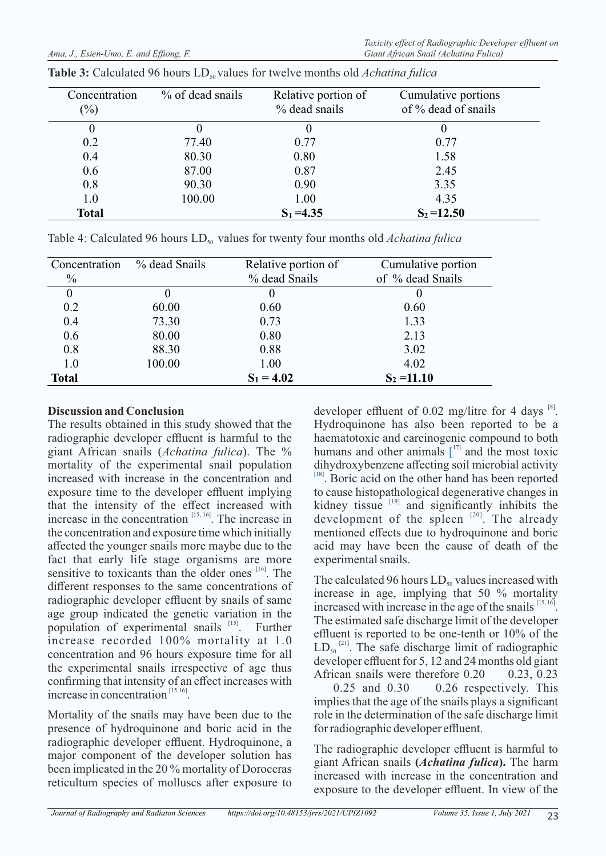| Concentration<br>$(\%)$ | $\%$ of dead snails | Relative portion of<br>% dead snails | Cumulative portions<br>of $\%$ dead of snails |
|-------------------------|---------------------|--------------------------------------|-----------------------------------------------|
| $\theta$                |                     |                                      |                                               |
| 0.2                     | 77.40               | 0.77                                 | 0.77                                          |
| 0.4                     | 80.30               | 0.80                                 | 1.58                                          |
| 0.6                     | 87.00               | 0.87                                 | 2.45                                          |
| 0.8                     | 90.30               | 0.90                                 | 3.35                                          |
| 1.0                     | 100.00              | 1.00                                 | 4.35                                          |
| <b>Total</b>            |                     | $S_1 = 4.35$                         | $S_2 = 12.50$                                 |

| <b>Table 3:</b> Calculated 96 hours $LD_{50}$ values for twelve months old <i>Achatina fulica</i> |  |  |
|---------------------------------------------------------------------------------------------------|--|--|
|---------------------------------------------------------------------------------------------------|--|--|

Table 4: Calculated 96 hours LD<sub>50</sub> values for twenty four months old *Achatina fulica* 

| Concentration<br>$\frac{0}{0}$ | % dead Snails | Relative portion of<br>% dead Snails | Cumulative portion<br>of % dead Snails |
|--------------------------------|---------------|--------------------------------------|----------------------------------------|
|                                |               | 0                                    |                                        |
| 0.2                            | 60.00         | 0.60                                 | 0.60                                   |
| 0.4                            | 73.30         | 0.73                                 | 1.33                                   |
| 0.6                            | 80.00         | 0.80                                 | 2.13                                   |
| 0.8                            | 88.30         | 0.88                                 | 3.02                                   |
| 1.0                            | 100.00        | 1.00                                 | 4.02                                   |
| <b>Total</b>                   |               | $S_1 = 4.02$                         | $S_2 = 11.10$                          |

#### **Discussion and Conclusion**

The results obtained in this study showed that the radiographic developer effluent is harmful to the giant African snails (*Achatina fulica*). The % mortality of the experimental snail population increased with increase in the concentration and exposure time to the developer effluent implying that the intensity of the effect increased with increase in the concentration  $[15, 16]$ . The increase in the concentration and exposure time which initially affected the younger snails more maybe due to the fact that early life stage organisms are more sensitive to toxicants than the older ones <sup>[16]</sup>. The different responses to the same concentrations of radiographic developer effluent by snails of same age group indicated the genetic variation in the population of experimental snails <sup>[15]</sup>. Further increase recorded 100% mortality at 1.0 concentration and 96 hours exposure time for all the experimental snails irrespective of age thus confirming that intensity of an effect increases with increase in concentration  $[15, 16]$ .

Mortality of the snails may have been due to the presence of hydroquinone and boric acid in the radiographic developer effluent. Hydroquinone, a major component of the developer solution has been implicated in the 20 % mortality of Doroceras reticultum species of molluscs after exposure to developer effluent of 0.02 mg/litre for 4 days  $^{[8]}$ . Hydroquinone has also been reported to be a haematotoxic and carcinogenic compound to both humans and other animals  $\int_1^{17}$  and the most toxic dihydroxybenzene affecting soil microbial activity [18]. Boric acid on the other hand has been reported to cause histopathological degenerative changes in kidney tissue  $\frac{1}{19}$  and significantly inhibits the development of the spleen  $[20]$ . The already mentioned effects due to hydroquinone and boric acid may have been the cause of death of the experimental snails.

The calculated 96 hours  $LD_{50}$  values increased with increase in age, implying that 50 % mortality increased with increase in the age of the snails  $^{[15, 16]}$ . The estimated safe discharge limit of the developer effluent is reported to be one-tenth or 10% of the  $LD_{50}$ <sup>[21]</sup>. The safe discharge limit of radiographic developer effluent for 5, 12 and 24 months old giant African snails were therefore 0.20 0.23, 0.23 0.25 and 0.30 0.26 respectively. This

implies that the age of the snails plays a significant role in the determination of the safe discharge limit for radiographic developer effluent.

The radiographic developer effluent is harmful to giant African snails **(***Achatina fulica***).** The harm increased with increase in the concentration and exposure to the developer effluent. In view of the